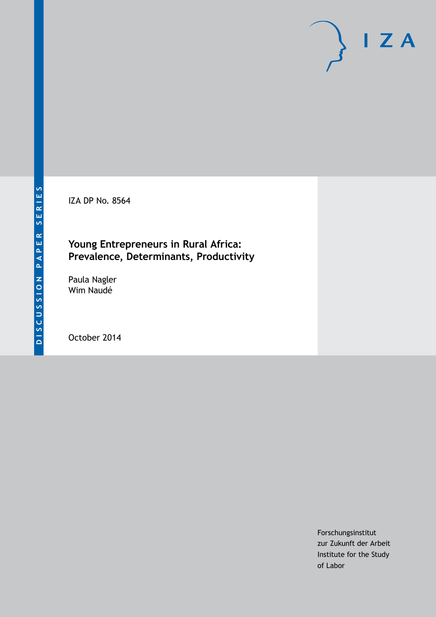IZA DP No. 8564

### **Young Entrepreneurs in Rural Africa: Prevalence, Determinants, Productivity**

Paula Nagler Wim Naudé

October 2014

Forschungsinstitut zur Zukunft der Arbeit Institute for the Study of Labor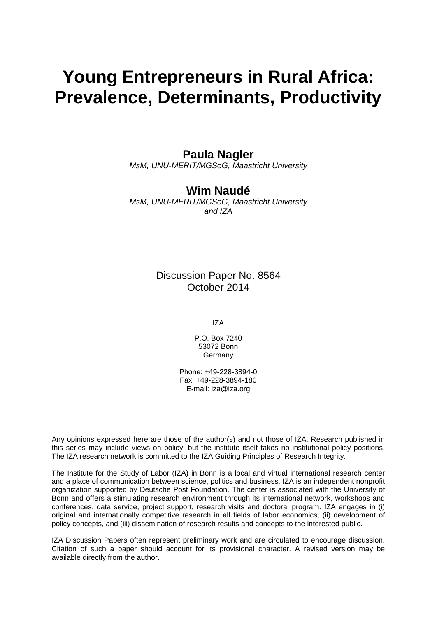# **Young Entrepreneurs in Rural Africa: Prevalence, Determinants, Productivity**

### **Paula Nagler**

*MsM, UNU-MERIT/MGSoG, Maastricht University*

### **Wim Naudé**

*MsM, UNU-MERIT/MGSoG, Maastricht University and IZA*

> Discussion Paper No. 8564 October 2014

> > IZA

P.O. Box 7240 53072 Bonn Germany

Phone: +49-228-3894-0 Fax: +49-228-3894-180 E-mail: [iza@iza.org](mailto:iza@iza.org)

Any opinions expressed here are those of the author(s) and not those of IZA. Research published in this series may include views on policy, but the institute itself takes no institutional policy positions. The IZA research network is committed to the IZA Guiding Principles of Research Integrity.

The Institute for the Study of Labor (IZA) in Bonn is a local and virtual international research center and a place of communication between science, politics and business. IZA is an independent nonprofit organization supported by Deutsche Post Foundation. The center is associated with the University of Bonn and offers a stimulating research environment through its international network, workshops and conferences, data service, project support, research visits and doctoral program. IZA engages in (i) original and internationally competitive research in all fields of labor economics, (ii) development of policy concepts, and (iii) dissemination of research results and concepts to the interested public.

IZA Discussion Papers often represent preliminary work and are circulated to encourage discussion. Citation of such a paper should account for its provisional character. A revised version may be available directly from the author.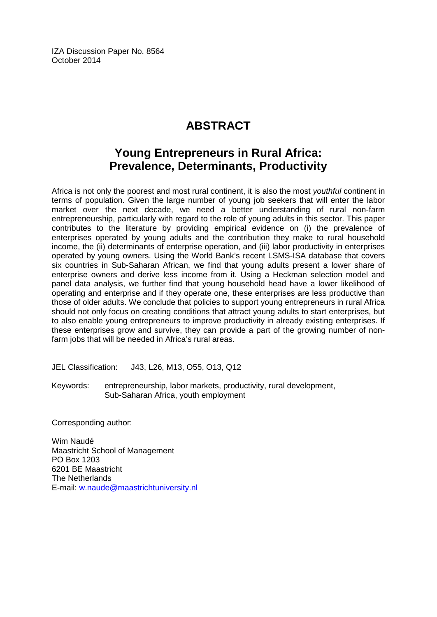IZA Discussion Paper No. 8564 October 2014

## **ABSTRACT**

## **Young Entrepreneurs in Rural Africa: Prevalence, Determinants, Productivity**

Africa is not only the poorest and most rural continent, it is also the most *youthful* continent in terms of population. Given the large number of young job seekers that will enter the labor market over the next decade, we need a better understanding of rural non-farm entrepreneurship, particularly with regard to the role of young adults in this sector. This paper contributes to the literature by providing empirical evidence on (i) the prevalence of enterprises operated by young adults and the contribution they make to rural household income, the (ii) determinants of enterprise operation, and (iii) labor productivity in enterprises operated by young owners. Using the World Bank's recent LSMS-ISA database that covers six countries in Sub-Saharan African, we find that young adults present a lower share of enterprise owners and derive less income from it. Using a Heckman selection model and panel data analysis, we further find that young household head have a lower likelihood of operating and enterprise and if they operate one, these enterprises are less productive than those of older adults. We conclude that policies to support young entrepreneurs in rural Africa should not only focus on creating conditions that attract young adults to start enterprises, but to also enable young entrepreneurs to improve productivity in already existing enterprises. If these enterprises grow and survive, they can provide a part of the growing number of nonfarm jobs that will be needed in Africa's rural areas.

JEL Classification: J43, L26, M13, O55, O13, Q12

Keywords: entrepreneurship, labor markets, productivity, rural development, Sub-Saharan Africa, youth employment

Corresponding author:

Wim Naudé Maastricht School of Management PO Box 1203 6201 BE Maastricht The Netherlands E-mail: [w.naude@maastrichtuniversity.nl](mailto:w.naude@maastrichtuniversity.nl)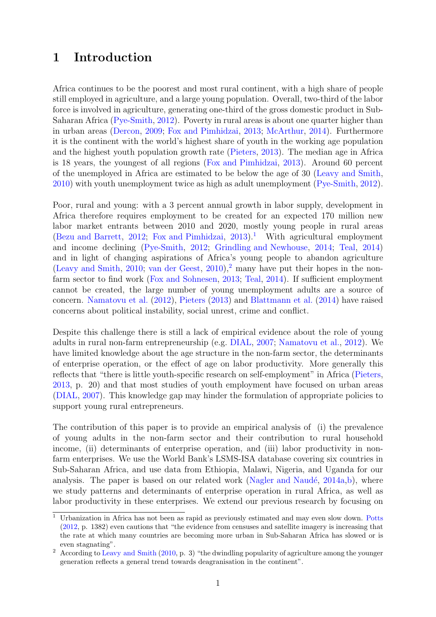## 1 Introduction

Africa continues to be the poorest and most rural continent, with a high share of people still employed in agriculture, and a large young population. Overall, two-third of the labor force is involved in agriculture, generating one-third of the gross domestic product in Sub-Saharan Africa [\(Pye-Smith,](#page-25-0) [2012\)](#page-25-0). Poverty in rural areas is about one quarter higher than in urban areas [\(Dercon,](#page-23-0) [2009;](#page-23-0) [Fox and Pimhidzai,](#page-24-0) [2013;](#page-24-0) [McArthur,](#page-24-1) [2014\)](#page-24-1). Furthermore it is the continent with the world's highest share of youth in the working age population and the highest youth population growth rate [\(Pieters,](#page-25-1) [2013\)](#page-25-1). The median age in Africa is 18 years, the youngest of all regions [\(Fox and Pimhidzai,](#page-24-0) [2013\)](#page-24-0). Around 60 percent of the unemployed in Africa are estimated to be below the age of 30 [\(Leavy and Smith,](#page-24-2) [2010\)](#page-24-2) with youth unemployment twice as high as adult unemployment [\(Pye-Smith,](#page-25-0) [2012\)](#page-25-0).

Poor, rural and young: with a 3 percent annual growth in labor supply, development in Africa therefore requires employment to be created for an expected 170 million new labor market entrants between 2010 and 2020, mostly young people in rural areas [\(Bezu and Barrett,](#page-23-1) [2012;](#page-23-1) [Fox and Pimhidzai,](#page-24-0) [2013\)](#page-24-0).<sup>[1](#page-3-0)</sup> With agricultural employment and income declining [\(Pye-Smith,](#page-25-0) [2012;](#page-25-0) [Grindling and Newhouse,](#page-24-3) [2014;](#page-24-3) [Teal,](#page-25-2) [2014\)](#page-25-2) and in light of changing aspirations of Africa's young people to abandon agriculture [\(Leavy and Smith,](#page-24-2) [2010;](#page-24-2) [van der Geest,](#page-25-3) [2010\)](#page-25-3),<sup>[2](#page-3-1)</sup> many have put their hopes in the nonfarm sector to find work [\(Fox and Sohnesen,](#page-24-4) [2013;](#page-24-4) [Teal,](#page-25-2) [2014\)](#page-25-2). If sufficient employment cannot be created, the large number of young unemployment adults are a source of concern. [Namatovu et al.](#page-24-5) [\(2012\)](#page-24-5), [Pieters](#page-25-1) [\(2013\)](#page-25-1) and [Blattmann et al.](#page-23-2) [\(2014\)](#page-23-2) have raised concerns about political instability, social unrest, crime and conflict.

Despite this challenge there is still a lack of empirical evidence about the role of young adults in rural non-farm entrepreneurship (e.g. [DIAL,](#page-23-3) [2007;](#page-23-3) [Namatovu et al.,](#page-24-5) [2012\)](#page-24-5). We have limited knowledge about the age structure in the non-farm sector, the determinants of enterprise operation, or the effect of age on labor productivity. More generally this reflects that "there is little youth-specific research on self-employment" in Africa [\(Pieters,](#page-25-1) [2013,](#page-25-1) p. 20) and that most studies of youth employment have focused on urban areas [\(DIAL,](#page-23-3) [2007\)](#page-23-3). This knowledge gap may hinder the formulation of appropriate policies to support young rural entrepreneurs.

The contribution of this paper is to provide an empirical analysis of (i) the prevalence of young adults in the non-farm sector and their contribution to rural household income, (ii) determinants of enterprise operation, and (iii) labor productivity in nonfarm enterprises. We use the World Bank's LSMS-ISA database covering six countries in Sub-Saharan Africa, and use data from Ethiopia, Malawi, Nigeria, and Uganda for our analysis. The paper is based on our related work (Nagler and Naudé,  $2014a$ ,[b\)](#page-24-7), where we study patterns and determinants of enterprise operation in rural Africa, as well as labor productivity in these enterprises. We extend our previous research by focusing on

<span id="page-3-0"></span> $\overline{1}$  Urbanization in Africa has not been as rapid as previously estimated and may even slow down. [Potts](#page-25-4) [\(2012,](#page-25-4) p. 1382) even cautions that "the evidence from censuses and satellite imagery is increasing that the rate at which many countries are becoming more urban in Sub-Saharan Africa has slowed or is even stagnating".

<span id="page-3-1"></span><sup>&</sup>lt;sup>2</sup> According to [Leavy and Smith](#page-24-2) [\(2010,](#page-24-2) p. 3) "the dwindling popularity of agriculture among the younger generation reflects a general trend towards deagranisation in the continent".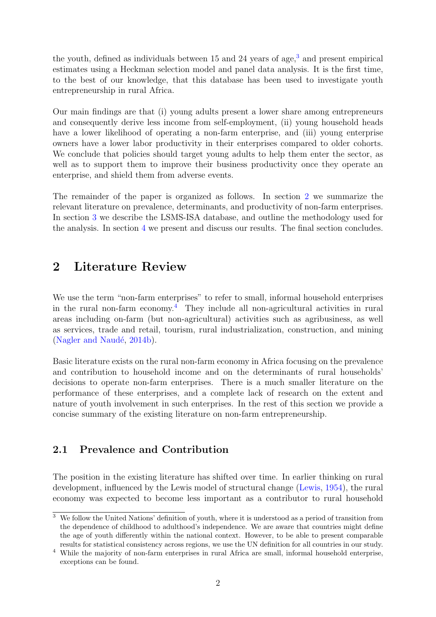the youth, defined as individuals between  $15$  and  $24$  years of age,<sup>[3](#page-4-0)</sup> and present empirical estimates using a Heckman selection model and panel data analysis. It is the first time, to the best of our knowledge, that this database has been used to investigate youth entrepreneurship in rural Africa.

Our main findings are that (i) young adults present a lower share among entrepreneurs and consequently derive less income from self-employment, (ii) young household heads have a lower likelihood of operating a non-farm enterprise, and (iii) young enterprise owners have a lower labor productivity in their enterprises compared to older cohorts. We conclude that policies should target young adults to help them enter the sector, as well as to support them to improve their business productivity once they operate an enterprise, and shield them from adverse events.

The remainder of the paper is organized as follows. In section [2](#page-4-1) we summarize the relevant literature on prevalence, determinants, and productivity of non-farm enterprises. In section [3](#page-8-0) we describe the LSMS-ISA database, and outline the methodology used for the analysis. In section [4](#page-12-0) we present and discuss our results. The final section concludes.

### <span id="page-4-1"></span>2 Literature Review

We use the term "non-farm enterprises" to refer to small, informal household enterprises in the rural non-farm economy.<sup>[4](#page-4-2)</sup> They include all non-agricultural activities in rural areas including on-farm (but non-agricultural) activities such as agribusiness, as well as services, trade and retail, tourism, rural industrialization, construction, and mining (Nagler and Naudé,  $2014b$ ).

Basic literature exists on the rural non-farm economy in Africa focusing on the prevalence and contribution to household income and on the determinants of rural households' decisions to operate non-farm enterprises. There is a much smaller literature on the performance of these enterprises, and a complete lack of research on the extent and nature of youth involvement in such enterprises. In the rest of this section we provide a concise summary of the existing literature on non-farm entrepreneurship.

### 2.1 Prevalence and Contribution

The position in the existing literature has shifted over time. In earlier thinking on rural development, influenced by the Lewis model of structural change [\(Lewis,](#page-24-8) [1954\)](#page-24-8), the rural economy was expected to become less important as a contributor to rural household

<span id="page-4-0"></span> $3\,$  We follow the United Nations' definition of youth, where it is understood as a period of transition from the dependence of childhood to adulthood's independence. We are aware that countries might define the age of youth differently within the national context. However, to be able to present comparable results for statistical consistency across regions, we use the UN definition for all countries in our study.

<span id="page-4-2"></span><sup>4</sup> While the majority of non-farm enterprises in rural Africa are small, informal household enterprise, exceptions can be found.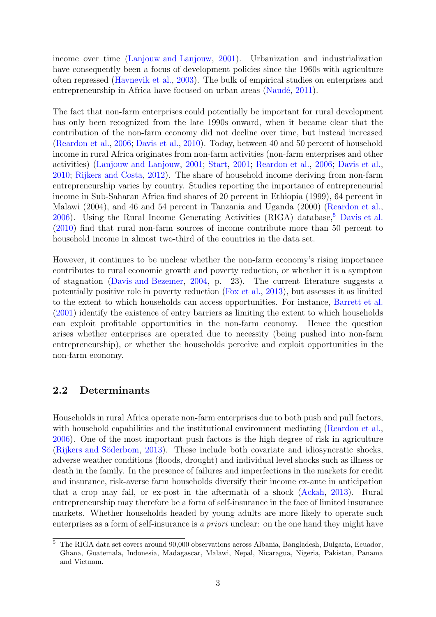income over time [\(Lanjouw and Lanjouw,](#page-24-9) [2001\)](#page-24-9). Urbanization and industrialization have consequently been a focus of development policies since the 1960s with agriculture often repressed [\(Havnevik et al.,](#page-24-10) [2003\)](#page-24-10). The bulk of empirical studies on enterprises and entrepreneurship in Africa have focused on urban areas (Naudé, [2011\)](#page-24-11).

The fact that non-farm enterprises could potentially be important for rural development has only been recognized from the late 1990s onward, when it became clear that the contribution of the non-farm economy did not decline over time, but instead increased [\(Reardon et al.,](#page-25-5) [2006;](#page-25-5) [Davis et al.,](#page-23-4) [2010\)](#page-23-4). Today, between 40 and 50 percent of household income in rural Africa originates from non-farm activities (non-farm enterprises and other activities) [\(Lanjouw and Lanjouw,](#page-24-9) [2001;](#page-24-9) [Start,](#page-25-6) [2001;](#page-25-6) [Reardon et al.,](#page-25-5) [2006;](#page-25-5) [Davis et al.,](#page-23-4) [2010;](#page-23-4) [Rijkers and Costa,](#page-25-7) [2012\)](#page-25-7). The share of household income deriving from non-farm entrepreneurship varies by country. Studies reporting the importance of entrepreneurial income in Sub-Saharan Africa find shares of 20 percent in Ethiopia (1999), 64 percent in Malawi (2004), and 46 and 54 percent in Tanzania and Uganda (2000) [\(Reardon et al.,](#page-25-5) [2006\)](#page-25-5). Using the Rural Income Generating Activities (RIGA) database,<sup>[5](#page-5-0)</sup> [Davis et al.](#page-23-4) [\(2010\)](#page-23-4) find that rural non-farm sources of income contribute more than 50 percent to household income in almost two-third of the countries in the data set.

However, it continues to be unclear whether the non-farm economy's rising importance contributes to rural economic growth and poverty reduction, or whether it is a symptom of stagnation [\(Davis and Bezemer,](#page-23-5) [2004,](#page-23-5) p. 23). The current literature suggests a potentially positive role in poverty reduction [\(Fox et al.,](#page-24-12) [2013\)](#page-24-12), but assesses it as limited to the extent to which households can access opportunities. For instance, [Barrett et al.](#page-23-6) [\(2001\)](#page-23-6) identify the existence of entry barriers as limiting the extent to which households can exploit profitable opportunities in the non-farm economy. Hence the question arises whether enterprises are operated due to necessity (being pushed into non-farm entrepreneurship), or whether the households perceive and exploit opportunities in the non-farm economy.

#### 2.2 Determinants

Households in rural Africa operate non-farm enterprises due to both push and pull factors, with household capabilities and the institutional environment mediating [\(Reardon et al.,](#page-25-5) [2006\)](#page-25-5). One of the most important push factors is the high degree of risk in agriculture (Rijkers and Söderbom, [2013\)](#page-25-8). These include both covariate and idiosyncratic shocks, adverse weather conditions (floods, drought) and individual level shocks such as illness or death in the family. In the presence of failures and imperfections in the markets for credit and insurance, risk-averse farm households diversify their income ex-ante in anticipation that a crop may fail, or ex-post in the aftermath of a shock [\(Ackah,](#page-23-7) [2013\)](#page-23-7). Rural entrepreneurship may therefore be a form of self-insurance in the face of limited insurance markets. Whether households headed by young adults are more likely to operate such enterprises as a form of self-insurance is a priori unclear: on the one hand they might have

<span id="page-5-0"></span><sup>5</sup> The RIGA data set covers around 90,000 observations across Albania, Bangladesh, Bulgaria, Ecuador, Ghana, Guatemala, Indonesia, Madagascar, Malawi, Nepal, Nicaragua, Nigeria, Pakistan, Panama and Vietnam.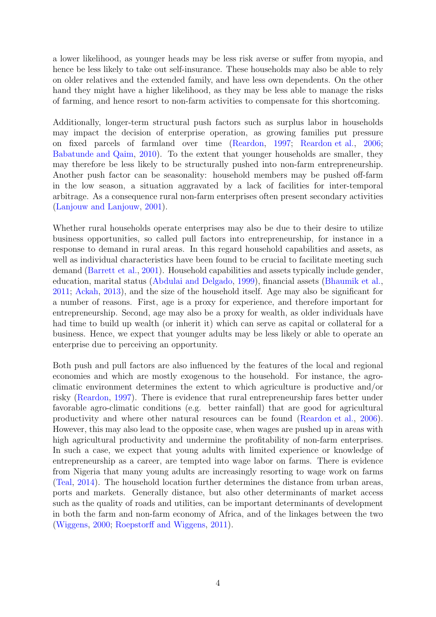a lower likelihood, as younger heads may be less risk averse or suffer from myopia, and hence be less likely to take out self-insurance. These households may also be able to rely on older relatives and the extended family, and have less own dependents. On the other hand they might have a higher likelihood, as they may be less able to manage the risks of farming, and hence resort to non-farm activities to compensate for this shortcoming.

Additionally, longer-term structural push factors such as surplus labor in households may impact the decision of enterprise operation, as growing families put pressure on fixed parcels of farmland over time [\(Reardon,](#page-25-9) [1997;](#page-25-9) [Reardon et al.,](#page-25-5) [2006;](#page-25-5) [Babatunde and Qaim,](#page-23-8) [2010\)](#page-23-8). To the extent that younger households are smaller, they may therefore be less likely to be structurally pushed into non-farm entrepreneurship. Another push factor can be seasonality: household members may be pushed off-farm in the low season, a situation aggravated by a lack of facilities for inter-temporal arbitrage. As a consequence rural non-farm enterprises often present secondary activities [\(Lanjouw and Lanjouw,](#page-24-9) [2001\)](#page-24-9).

Whether rural households operate enterprises may also be due to their desire to utilize business opportunities, so called pull factors into entrepreneurship, for instance in a response to demand in rural areas. In this regard household capabilities and assets, as well as individual characteristics have been found to be crucial to facilitate meeting such demand [\(Barrett et al.,](#page-23-6) [2001\)](#page-23-6). Household capabilities and assets typically include gender, education, marital status [\(Abdulai and Delgado,](#page-23-9) [1999\)](#page-23-9), financial assets [\(Bhaumik et al.,](#page-23-10) [2011;](#page-23-10) [Ackah,](#page-23-7) [2013\)](#page-23-7), and the size of the household itself. Age may also be significant for a number of reasons. First, age is a proxy for experience, and therefore important for entrepreneurship. Second, age may also be a proxy for wealth, as older individuals have had time to build up wealth (or inherit it) which can serve as capital or collateral for a business. Hence, we expect that younger adults may be less likely or able to operate an enterprise due to perceiving an opportunity.

Both push and pull factors are also influenced by the features of the local and regional economies and which are mostly exogenous to the household. For instance, the agroclimatic environment determines the extent to which agriculture is productive and/or risky [\(Reardon,](#page-25-9) [1997\)](#page-25-9). There is evidence that rural entrepreneurship fares better under favorable agro-climatic conditions (e.g. better rainfall) that are good for agricultural productivity and where other natural resources can be found [\(Reardon et al.,](#page-25-5) [2006\)](#page-25-5). However, this may also lead to the opposite case, when wages are pushed up in areas with high agricultural productivity and undermine the profitability of non-farm enterprises. In such a case, we expect that young adults with limited experience or knowledge of entrepreneurship as a career, are tempted into wage labor on farms. There is evidence from Nigeria that many young adults are increasingly resorting to wage work on farms [\(Teal,](#page-25-2) [2014\)](#page-25-2). The household location further determines the distance from urban areas, ports and markets. Generally distance, but also other determinants of market access such as the quality of roads and utilities, can be important determinants of development in both the farm and non-farm economy of Africa, and of the linkages between the two [\(Wiggens,](#page-25-10) [2000;](#page-25-10) [Roepstorff and Wiggens,](#page-25-11) [2011\)](#page-25-11).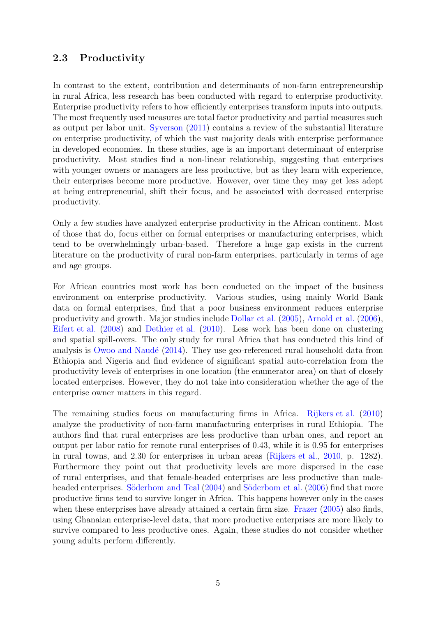### 2.3 Productivity

In contrast to the extent, contribution and determinants of non-farm entrepreneurship in rural Africa, less research has been conducted with regard to enterprise productivity. Enterprise productivity refers to how efficiently enterprises transform inputs into outputs. The most frequently used measures are total factor productivity and partial measures such as output per labor unit. [Syverson](#page-25-12) [\(2011\)](#page-25-12) contains a review of the substantial literature on enterprise productivity, of which the vast majority deals with enterprise performance in developed economies. In these studies, age is an important determinant of enterprise productivity. Most studies find a non-linear relationship, suggesting that enterprises with younger owners or managers are less productive, but as they learn with experience, their enterprises become more productive. However, over time they may get less adept at being entrepreneurial, shift their focus, and be associated with decreased enterprise productivity.

Only a few studies have analyzed enterprise productivity in the African continent. Most of those that do, focus either on formal enterprises or manufacturing enterprises, which tend to be overwhelmingly urban-based. Therefore a huge gap exists in the current literature on the productivity of rural non-farm enterprises, particularly in terms of age and age groups.

For African countries most work has been conducted on the impact of the business environment on enterprise productivity. Various studies, using mainly World Bank data on formal enterprises, find that a poor business environment reduces enterprise productivity and growth. Major studies include [Dollar et al.](#page-24-13) [\(2005\)](#page-24-13), [Arnold et al.](#page-23-11) [\(2006\)](#page-23-11), [Eifert et al.](#page-24-14) [\(2008\)](#page-24-14) and [Dethier et al.](#page-23-12) [\(2010\)](#page-23-12). Less work has been done on clustering and spatial spill-overs. The only study for rural Africa that has conducted this kind of analysis is Owoo and Naudé  $(2014)$ . They use geo-referenced rural household data from Ethiopia and Nigeria and find evidence of significant spatial auto-correlation from the productivity levels of enterprises in one location (the enumerator area) on that of closely located enterprises. However, they do not take into consideration whether the age of the enterprise owner matters in this regard.

The remaining studies focus on manufacturing firms in Africa. [Rijkers et al.](#page-25-14) [\(2010\)](#page-25-14) analyze the productivity of non-farm manufacturing enterprises in rural Ethiopia. The authors find that rural enterprises are less productive than urban ones, and report an output per labor ratio for remote rural enterprises of 0.43, while it is 0.95 for enterprises in rural towns, and 2.30 for enterprises in urban areas [\(Rijkers et al.,](#page-25-14) [2010,](#page-25-14) p. 1282). Furthermore they point out that productivity levels are more dispersed in the case of rural enterprises, and that female-headed enterprises are less productive than male-headed enterprises. Söderbom and Teal [\(2004\)](#page-25-15) and Söderbom et al. [\(2006\)](#page-25-16) find that more productive firms tend to survive longer in Africa. This happens however only in the cases when these enterprises have already attained a certain firm size. [Frazer](#page-24-15) [\(2005\)](#page-24-15) also finds, using Ghanaian enterprise-level data, that more productive enterprises are more likely to survive compared to less productive ones. Again, these studies do not consider whether young adults perform differently.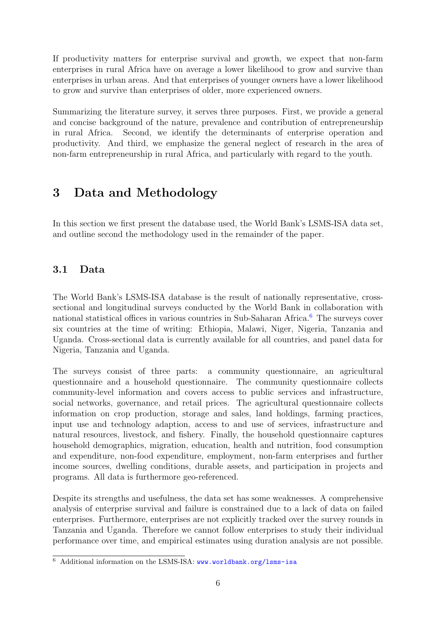If productivity matters for enterprise survival and growth, we expect that non-farm enterprises in rural Africa have on average a lower likelihood to grow and survive than enterprises in urban areas. And that enterprises of younger owners have a lower likelihood to grow and survive than enterprises of older, more experienced owners.

Summarizing the literature survey, it serves three purposes. First, we provide a general and concise background of the nature, prevalence and contribution of entrepreneurship in rural Africa. Second, we identify the determinants of enterprise operation and productivity. And third, we emphasize the general neglect of research in the area of non-farm entrepreneurship in rural Africa, and particularly with regard to the youth.

## <span id="page-8-0"></span>3 Data and Methodology

In this section we first present the database used, the World Bank's LSMS-ISA data set, and outline second the methodology used in the remainder of the paper.

### 3.1 Data

The World Bank's LSMS-ISA database is the result of nationally representative, crosssectional and longitudinal surveys conducted by the World Bank in collaboration with national statistical offices in various countries in Sub-Saharan Africa.<sup>[6](#page-8-1)</sup> The surveys cover six countries at the time of writing: Ethiopia, Malawi, Niger, Nigeria, Tanzania and Uganda. Cross-sectional data is currently available for all countries, and panel data for Nigeria, Tanzania and Uganda.

The surveys consist of three parts: a community questionnaire, an agricultural questionnaire and a household questionnaire. The community questionnaire collects community-level information and covers access to public services and infrastructure, social networks, governance, and retail prices. The agricultural questionnaire collects information on crop production, storage and sales, land holdings, farming practices, input use and technology adaption, access to and use of services, infrastructure and natural resources, livestock, and fishery. Finally, the household questionnaire captures household demographics, migration, education, health and nutrition, food consumption and expenditure, non-food expenditure, employment, non-farm enterprises and further income sources, dwelling conditions, durable assets, and participation in projects and programs. All data is furthermore geo-referenced.

Despite its strengths and usefulness, the data set has some weaknesses. A comprehensive analysis of enterprise survival and failure is constrained due to a lack of data on failed enterprises. Furthermore, enterprises are not explicitly tracked over the survey rounds in Tanzania and Uganda. Therefore we cannot follow enterprises to study their individual performance over time, and empirical estimates using duration analysis are not possible.

<span id="page-8-1"></span> $\overline{6}$  Additional information on the LSMS-ISA: www.worldbank.org/1sms-isa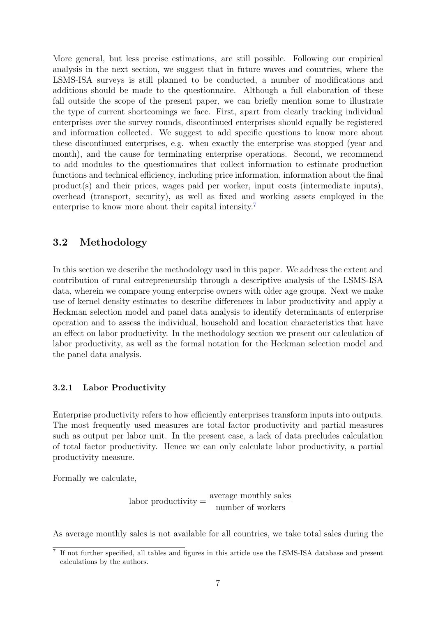More general, but less precise estimations, are still possible. Following our empirical analysis in the next section, we suggest that in future waves and countries, where the LSMS-ISA surveys is still planned to be conducted, a number of modifications and additions should be made to the questionnaire. Although a full elaboration of these fall outside the scope of the present paper, we can briefly mention some to illustrate the type of current shortcomings we face. First, apart from clearly tracking individual enterprises over the survey rounds, discontinued enterprises should equally be registered and information collected. We suggest to add specific questions to know more about these discontinued enterprises, e.g. when exactly the enterprise was stopped (year and month), and the cause for terminating enterprise operations. Second, we recommend to add modules to the questionnaires that collect information to estimate production functions and technical efficiency, including price information, information about the final product(s) and their prices, wages paid per worker, input costs (intermediate inputs), overhead (transport, security), as well as fixed and working assets employed in the enterprise to know more about their capital intensity.<sup>[7](#page-9-0)</sup>

#### 3.2 Methodology

In this section we describe the methodology used in this paper. We address the extent and contribution of rural entrepreneurship through a descriptive analysis of the LSMS-ISA data, wherein we compare young enterprise owners with older age groups. Next we make use of kernel density estimates to describe differences in labor productivity and apply a Heckman selection model and panel data analysis to identify determinants of enterprise operation and to assess the individual, household and location characteristics that have an effect on labor productivity. In the methodology section we present our calculation of labor productivity, as well as the formal notation for the Heckman selection model and the panel data analysis.

#### 3.2.1 Labor Productivity

Enterprise productivity refers to how efficiently enterprises transform inputs into outputs. The most frequently used measures are total factor productivity and partial measures such as output per labor unit. In the present case, a lack of data precludes calculation of total factor productivity. Hence we can only calculate labor productivity, a partial productivity measure.

Formally we calculate,

$$
labor\,\,productivity = \frac{\text{average monthly sales}}{\text{number of workers}}
$$

As average monthly sales is not available for all countries, we take total sales during the

<span id="page-9-0"></span><sup>&</sup>lt;sup>7</sup> If not further specified, all tables and figures in this article use the LSMS-ISA database and present calculations by the authors.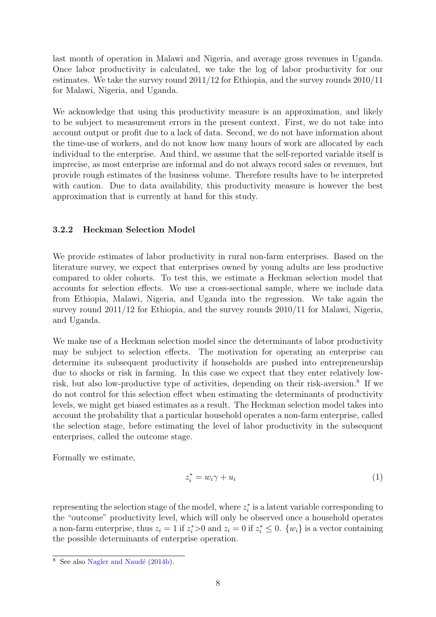last month of operation in Malawi and Nigeria, and average gross revenues in Uganda. Once labor productivity is calculated, we take the log of labor productivity for our estimates. We take the survey round 2011/12 for Ethiopia, and the survey rounds 2010/11 for Malawi, Nigeria, and Uganda.

We acknowledge that using this productivity measure is an approximation, and likely to be subject to measurement errors in the present context. First, we do not take into account output or profit due to a lack of data. Second, we do not have information about the time-use of workers, and do not know how many hours of work are allocated by each individual to the enterprise. And third, we assume that the self-reported variable itself is imprecise, as most enterprise are informal and do not always record sales or revenues, but provide rough estimates of the business volume. Therefore results have to be interpreted with caution. Due to data availability, this productivity measure is however the best approximation that is currently at hand for this study.

#### 3.2.2 Heckman Selection Model

We provide estimates of labor productivity in rural non-farm enterprises. Based on the literature survey, we expect that enterprises owned by young adults are less productive compared to older cohorts. To test this, we estimate a Heckman selection model that accounts for selection effects. We use a cross-sectional sample, where we include data from Ethiopia, Malawi, Nigeria, and Uganda into the regression. We take again the survey round 2011/12 for Ethiopia, and the survey rounds 2010/11 for Malawi, Nigeria, and Uganda.

We make use of a Heckman selection model since the determinants of labor productivity may be subject to selection effects. The motivation for operating an enterprise can determine its subsequent productivity if households are pushed into entrepreneurship due to shocks or risk in farming. In this case we expect that they enter relatively low-risk, but also low-productive type of activities, depending on their risk-aversion.<sup>[8](#page-10-0)</sup> If we do not control for this selection effect when estimating the determinants of productivity levels, we might get biased estimates as a result. The Heckman selection model takes into account the probability that a particular household operates a non-farm enterprise, called the selection stage, before estimating the level of labor productivity in the subsequent enterprises, called the outcome stage.

Formally we estimate,

$$
z_i^* = w_i \gamma + u_i \tag{1}
$$

representing the selection stage of the model, where  $z_i^*$  is a latent variable corresponding to the "outcome" productivity level, which will only be observed once a household operates a non-farm enterprise, thus  $z_i = 1$  if  $z_i^* > 0$  and  $z_i = 0$  if  $z_i^* \leq 0$ .  $\{w_i\}$  is a vector containing the possible determinants of enterprise operation.

<span id="page-10-0"></span> $\overline{\text{8}$  See also Nagler and Naudé [\(2014b\)](#page-24-7).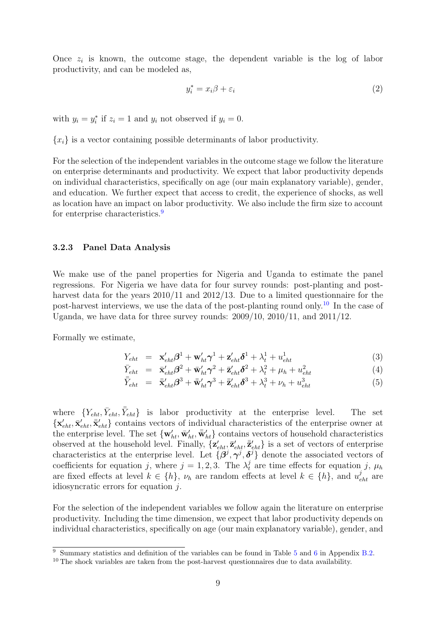Once  $z_i$  is known, the outcome stage, the dependent variable is the log of labor productivity, and can be modeled as,

$$
y_i^* = x_i \beta + \varepsilon_i \tag{2}
$$

with  $y_i = y_i^*$  if  $z_i = 1$  and  $y_i$  not observed if  $y_i = 0$ .

 ${x_i}$  is a vector containing possible determinants of labor productivity.

For the selection of the independent variables in the outcome stage we follow the literature on enterprise determinants and productivity. We expect that labor productivity depends on individual characteristics, specifically on age (our main explanatory variable), gender, and education. We further expect that access to credit, the experience of shocks, as well as location have an impact on labor productivity. We also include the firm size to account for enterprise characteristics.<sup>[9](#page-11-0)</sup>

#### 3.2.3 Panel Data Analysis

We make use of the panel properties for Nigeria and Uganda to estimate the panel regressions. For Nigeria we have data for four survey rounds: post-planting and postharvest data for the years 2010/11 and 2012/13. Due to a limited questionnaire for the post-harvest interviews, we use the data of the post-planting round only.<sup>[10](#page-11-1)</sup> In the case of Uganda, we have data for three survey rounds: 2009/10, 2010/11, and 2011/12.

Formally we estimate,

$$
Y_{eht} = \mathbf{x}'_{eht} \boldsymbol{\beta}^{1} + \mathbf{w}'_{ht} \boldsymbol{\gamma}^{1} + \mathbf{z}'_{eht} \boldsymbol{\delta}^{1} + \lambda_{t}^{1} + u_{eht}^{1}
$$
 (3)

$$
\bar{Y}_{eht} = \bar{\mathbf{x}}'_{eht} \boldsymbol{\beta}^2 + \bar{\mathbf{w}}'_{ht} \boldsymbol{\gamma}^2 + \bar{\mathbf{z}}'_{eht} \boldsymbol{\delta}^2 + \lambda_t^2 + \mu_h + u_{eht}^2 \tag{4}
$$

$$
\bar{\bar{Y}}_{eht} = \bar{\mathbf{x}}'_{eht} \boldsymbol{\beta}^3 + \bar{\mathbf{w}}'_{ht} \boldsymbol{\gamma}^3 + \bar{\mathbf{z}}'_{eht} \boldsymbol{\delta}^3 + \lambda_t^3 + \nu_h + u_{eht}^3 \tag{5}
$$

where  ${Y_{eht}, \bar{Y}_{eht}, \bar{\bar{Y}}_{eht}}$  is labor productivity at the enterprise level. The set  $\{\mathbf x'_{eht}, \bar{\mathbf x}'_{eht}, \bar{\mathbf x}'_{eht}\}\$ contains vectors of individual characteristics of the enterprise owner at the enterprise level. The set  $\{w'_{ht}, \bar{w}'_{ht}, \bar{w}'_{ht}\}$  contains vectors of household characteristics observed at the household level. Finally,  $\{z'_{eht}, \bar{z}'_{eht}, \bar{z}'_{eht}\}$  is a set of vectors of enterprise characteristics at the enterprise level. Let  $\{\hat{\beta}^j, \gamma^j, \delta^j\}$  denote the associated vectors of coefficients for equation j, where  $j = 1, 2, 3$ . The  $\lambda_t^j$  are time effects for equation j,  $\mu_h$ are fixed effects at level  $k \in \{h\}$ ,  $\nu_h$  are random effects at level  $k \in \{h\}$ , and  $u_{eht}^j$  are idiosyncratic errors for equation  $i$ .

For the selection of the independent variables we follow again the literature on enterprise productivity. Including the time dimension, we expect that labor productivity depends on individual characteristics, specifically on age (our main explanatory variable), gender, and

<span id="page-11-0"></span><sup>&</sup>lt;sup>9</sup> Summary statistics and definition of the variables can be found in Table [5](#page-28-0) and [6](#page-28-1) in Appendix [B.2.](#page-28-2)

<span id="page-11-1"></span><sup>&</sup>lt;sup>10</sup> The shock variables are taken from the post-harvest questionnaires due to data availability.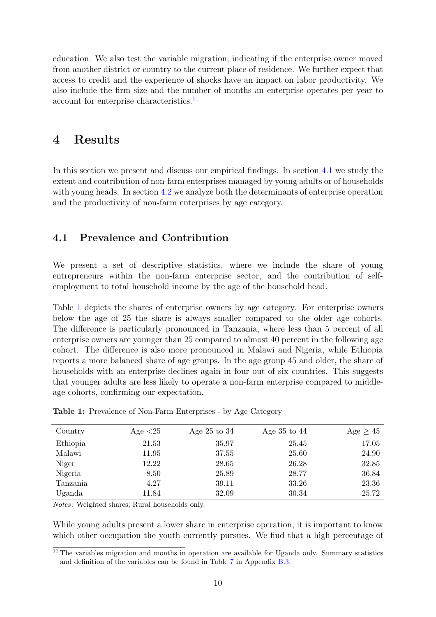education. We also test the variable migration, indicating if the enterprise owner moved from another district or country to the current place of residence. We further expect that access to credit and the experience of shocks have an impact on labor productivity. We also include the firm size and the number of months an enterprise operates per year to account for enterprise characteristics.[11](#page-12-1)

### <span id="page-12-0"></span>4 Results

In this section we present and discuss our empirical findings. In section [4.1](#page-12-2) we study the extent and contribution of non-farm enterprises managed by young adults or of households with young heads. In section [4.2](#page-14-0) we analyze both the determinants of enterprise operation and the productivity of non-farm enterprises by age category.

### <span id="page-12-2"></span>4.1 Prevalence and Contribution

We present a set of descriptive statistics, where we include the share of young entrepreneurs within the non-farm enterprise sector, and the contribution of selfemployment to total household income by the age of the household head.

Table [1](#page-12-3) depicts the shares of enterprise owners by age category. For enterprise owners below the age of 25 the share is always smaller compared to the older age cohorts. The difference is particularly pronounced in Tanzania, where less than 5 percent of all enterprise owners are younger than 25 compared to almost 40 percent in the following age cohort. The difference is also more pronounced in Malawi and Nigeria, while Ethiopia reports a more balanced share of age groups. In the age group 45 and older, the share of households with an enterprise declines again in four out of six countries. This suggests that younger adults are less likely to operate a non-farm enterprise compared to middleage cohorts, confirming our expectation.

| Country  | Age $<25$ | Age $25$ to $34$ | Age $35$ to $44$ | Age $\geq 45$ |
|----------|-----------|------------------|------------------|---------------|
| Ethiopia | 21.53     | 35.97            | 25.45            | 17.05         |
| Malawi   | 11.95     | 37.55            | 25.60            | 24.90         |
| Niger    | 12.22     | 28.65            | 26.28            | 32.85         |
| Nigeria  | 8.50      | 25.89            | 28.77            | 36.84         |
| Tanzania | 4.27      | 39.11            | 33.26            | 23.36         |
| Uganda   | 11.84     | 32.09            | 30.34            | 25.72         |

<span id="page-12-3"></span>Table 1: Prevalence of Non-Farm Enterprises - by Age Category

Notes: Weighted shares; Rural households only.

While young adults present a lower share in enterprise operation, it is important to know which other occupation the youth currently pursues. We find that a high percentage of

<span id="page-12-1"></span> $11$  The variables migration and months in operation are available for Uganda only. Summary statistics and definition of the variables can be found in Table [7](#page-30-0) in Appendix [B.3.](#page-30-1)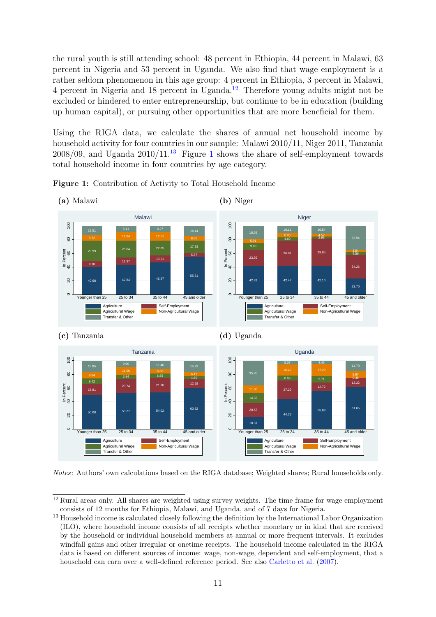the rural youth is still attending school: 48 percent in Ethiopia, 44 percent in Malawi, 63 percent in Nigeria and 53 percent in Uganda. We also find that wage employment is a rather seldom phenomenon in this age group: 4 percent in Ethiopia, 3 percent in Malawi, 4 percent in Nigeria and 18 percent in Uganda.[12](#page-13-0) Therefore young adults might not be excluded or hindered to enter entrepreneurship, but continue to be in education (building up human capital), or pursuing other opportunities that are more beneficial for them.

Using the RIGA data, we calculate the shares of annual net household income by household activity for four countries in our sample: Malawi 2010/11, Niger 2011, Tanzania  $2008/09$ , and Uganda  $2010/11<sup>13</sup>$  $2010/11<sup>13</sup>$  $2010/11<sup>13</sup>$  Figure [1](#page-13-2) shows the share of self-employment towards total household income in four countries by age category.



<span id="page-13-2"></span>Figure 1: Contribution of Activity to Total Household Income

Notes: Authors' own calculations based on the RIGA database; Weighted shares; Rural households only.

<span id="page-13-0"></span><sup>&</sup>lt;sup>12</sup> Rural areas only. All shares are weighted using survey weights. The time frame for wage employment consists of 12 months for Ethiopia, Malawi, and Uganda, and of 7 days for Nigeria.

<span id="page-13-1"></span><sup>13</sup> Household income is calculated closely following the definition by the International Labor Organization (ILO), where household income consists of all receipts whether monetary or in kind that are received by the household or individual household members at annual or more frequent intervals. It excludes windfall gains and other irregular or onetime receipts. The household income calculated in the RIGA data is based on different sources of income: wage, non-wage, dependent and self-employment, that a household can earn over a well-defined reference period. See also [Carletto et al.](#page-23-13) [\(2007\)](#page-23-13).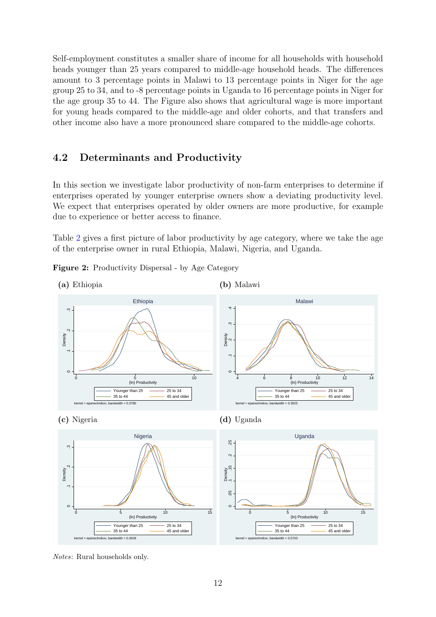Self-employment constitutes a smaller share of income for all households with household heads younger than 25 years compared to middle-age household heads. The differences amount to 3 percentage points in Malawi to 13 percentage points in Niger for the age group 25 to 34, and to -8 percentage points in Uganda to 16 percentage points in Niger for the age group 35 to 44. The Figure also shows that agricultural wage is more important for young heads compared to the middle-age and older cohorts, and that transfers and other income also have a more pronounced share compared to the middle-age cohorts.

#### <span id="page-14-0"></span>4.2 Determinants and Productivity

In this section we investigate labor productivity of non-farm enterprises to determine if enterprises operated by younger enterprise owners show a deviating productivity level. We expect that enterprises operated by older owners are more productive, for example due to experience or better access to finance.

Table [2](#page-14-1) gives a first picture of labor productivity by age category, where we take the age of the enterprise owner in rural Ethiopia, Malawi, Nigeria, and Uganda.

<span id="page-14-1"></span>Figure 2: Productivity Dispersal - by Age Category



Notes: Rural households only.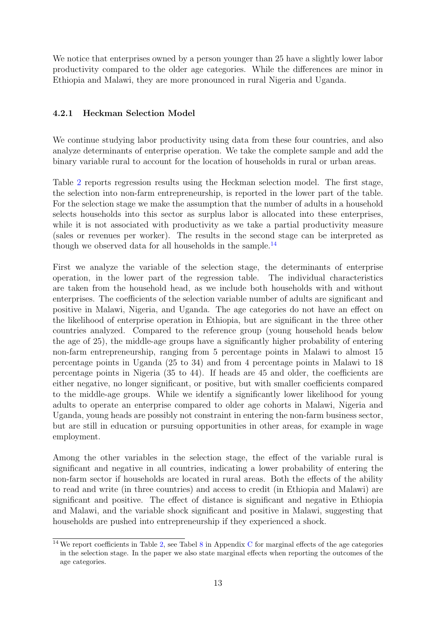We notice that enterprises owned by a person younger than 25 have a slightly lower labor productivity compared to the older age categories. While the differences are minor in Ethiopia and Malawi, they are more pronounced in rural Nigeria and Uganda.

#### 4.2.1 Heckman Selection Model

We continue studying labor productivity using data from these four countries, and also analyze determinants of enterprise operation. We take the complete sample and add the binary variable rural to account for the location of households in rural or urban areas.

Table [2](#page-16-0) reports regression results using the Heckman selection model. The first stage, the selection into non-farm entrepreneurship, is reported in the lower part of the table. For the selection stage we make the assumption that the number of adults in a household selects households into this sector as surplus labor is allocated into these enterprises, while it is not associated with productivity as we take a partial productivity measure (sales or revenues per worker). The results in the second stage can be interpreted as though we observed data for all households in the sample.<sup>[14](#page-15-0)</sup>

First we analyze the variable of the selection stage, the determinants of enterprise operation, in the lower part of the regression table. The individual characteristics are taken from the household head, as we include both households with and without enterprises. The coefficients of the selection variable number of adults are significant and positive in Malawi, Nigeria, and Uganda. The age categories do not have an effect on the likelihood of enterprise operation in Ethiopia, but are significant in the three other countries analyzed. Compared to the reference group (young household heads below the age of 25), the middle-age groups have a significantly higher probability of entering non-farm entrepreneurship, ranging from 5 percentage points in Malawi to almost 15 percentage points in Uganda (25 to 34) and from 4 percentage points in Malawi to 18 percentage points in Nigeria (35 to 44). If heads are 45 and older, the coefficients are either negative, no longer significant, or positive, but with smaller coefficients compared to the middle-age groups. While we identify a significantly lower likelihood for young adults to operate an enterprise compared to older age cohorts in Malawi, Nigeria and Uganda, young heads are possibly not constraint in entering the non-farm business sector, but are still in education or pursuing opportunities in other areas, for example in wage employment.

Among the other variables in the selection stage, the effect of the variable rural is significant and negative in all countries, indicating a lower probability of entering the non-farm sector if households are located in rural areas. Both the effects of the ability to read and write (in three countries) and access to credit (in Ethiopia and Malawi) are significant and positive. The effect of distance is significant and negative in Ethiopia and Malawi, and the variable shock significant and positive in Malawi, suggesting that households are pushed into entrepreneurship if they experienced a shock.

<span id="page-15-0"></span><sup>&</sup>lt;sup>14</sup> We report coefficients in Table [2,](#page-16-0) see Tabel [8](#page-31-0) in Appendix [C](#page-31-1) for marginal effects of the age categories in the selection stage. In the paper we also state marginal effects when reporting the outcomes of the age categories.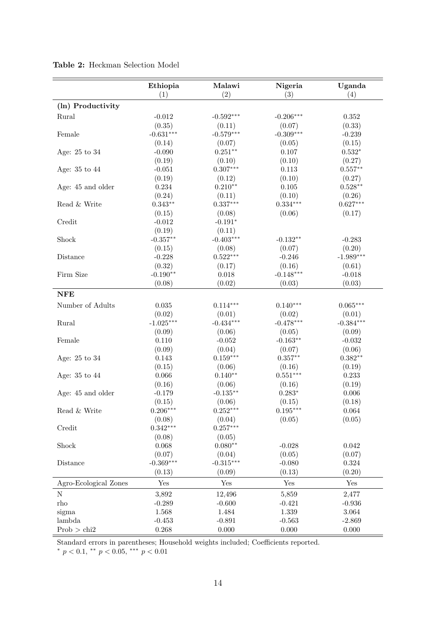|                       | Ethiopia<br>(1) | Malawi<br>(2) | Nigeria<br>(3) | Uganda<br>(4) |
|-----------------------|-----------------|---------------|----------------|---------------|
| (ln) Productivity     |                 |               |                |               |
| Rural                 | $-0.012$        | $-0.592***$   | $-0.206***$    | 0.352         |
|                       | (0.35)          | (0.11)        | (0.07)         | (0.33)        |
| Female                | $-0.631***$     | $-0.579***$   | $-0.309***$    | $-0.239$      |
|                       | (0.14)          | (0.07)        | (0.05)         | (0.15)        |
| Age: 25 to 34         | $-0.090$        | $0.251**$     | 0.107          | $0.532*$      |
|                       | (0.19)          | (0.10)        | (0.10)         | (0.27)        |
| Age: 35 to 44         | $-0.051$        | $0.307***$    | 0.113          | $0.557**$     |
|                       | (0.19)          | (0.12)        | (0.10)         | (0.27)        |
| Age: 45 and older     | 0.234           | $0.210**$     | 0.105          | $0.528**$     |
|                       | (0.24)          | (0.11)        | (0.10)         | (0.26)        |
| Read & Write          | $0.343**$       | $0.337***$    | $0.334***$     | $0.627***$    |
|                       | (0.15)          | (0.08)        | (0.06)         | (0.17)        |
| Credit                | $-0.012$        | $-0.191*$     |                |               |
|                       | (0.19)          | (0.11)        |                |               |
| Shock                 | $-0.357**$      | $-0.403***$   | $-0.132**$     | $-0.283$      |
|                       | (0.15)          | (0.08)        | (0.07)         | (0.20)        |
| Distance              | $-0.228$        | $0.522***$    | $-0.246$       | $-1.989***$   |
|                       | (0.32)          | (0.17)        | (0.16)         | (0.61)        |
| Firm Size             | $-0.190**$      | 0.018         | $-0.148***$    | $-0.018$      |
|                       | (0.08)          | (0.02)        | (0.03)         | (0.03)        |
|                       |                 |               |                |               |
| <b>NFE</b>            |                 |               |                |               |
| Number of Adults      | 0.035           | $0.114***$    | $0.140***$     | $0.065***$    |
|                       | (0.02)          | (0.01)        | (0.02)         | (0.01)        |
| Rural                 | $-1.025***$     | $-0.434***$   | $-0.478***$    | $-0.384***$   |
|                       | (0.09)          | (0.06)        | (0.05)         | (0.09)        |
| Female                | 0.110           | $-0.052$      | $-0.163**$     | $-0.032$      |
|                       | (0.09)          | (0.04)        | (0.07)         | (0.06)        |
| Age: 25 to 34         | 0.143           | $0.159***$    | $0.357**$      | $0.382**$     |
|                       | (0.15)          | (0.06)        | (0.16)         | (0.19)        |
| Age: 35 to 44         | 0.066           | $0.140**$     | $0.551***$     | 0.233         |
|                       | (0.16)          | (0.06)        | (0.16)         | (0.19)        |
| Age: 45 and older     | $-0.179$        | $-0.135**$    | $0.283*$       | 0.006         |
|                       | (0.15)          | (0.06)        | (0.15)         | (0.18)        |
| Read & Write          | $0.206***$      | $0.252***$    | $0.195***$     | 0.064         |
|                       | (0.08)          | (0.04)        | (0.05)         | (0.05)        |
| Credit                | $0.342***$      | $0.257***$    |                |               |
|                       | (0.08)          | (0.05)        |                |               |
| Shock                 | 0.068           | $0.080**$     | $-0.028$       | 0.042         |
|                       | (0.07)          | (0.04)        | (0.05)         | (0.07)        |
| Distance              | $-0.369***$     | $-0.315***$   | $-0.080$       | 0.324         |
|                       | (0.13)          | (0.09)        | (0.13)         | (0.20)        |
| Agro-Ecological Zones | Yes             | Yes           | Yes            | Yes           |
| ${\rm N}$             | 3,892           | 12,496        | 5,859          | 2,477         |
| rho                   | $-0.289$        | $-0.600$      | $-0.421$       | $-0.936$      |
| sigma                 | 1.568           | 1.484         | 1.339          | $3.064\,$     |
| lambda                | $-0.453$        | $-0.891$      | $-0.563$       | $-2.869$      |
| Prob > chi2           | 0.268           | 0.000         | 0.000          | 0.000         |

<span id="page-16-0"></span>Table 2: Heckman Selection Model

Standard errors in parentheses; Household weights included; Coefficients reported.

\*  $p < 0.1$ , \*\*  $p < 0.05$ , \*\*\*  $p < 0.01$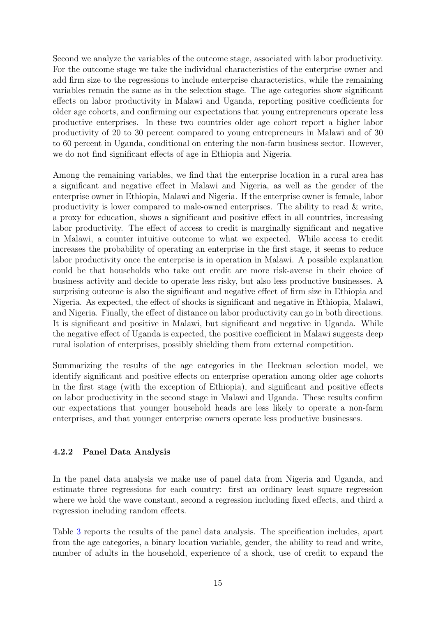Second we analyze the variables of the outcome stage, associated with labor productivity. For the outcome stage we take the individual characteristics of the enterprise owner and add firm size to the regressions to include enterprise characteristics, while the remaining variables remain the same as in the selection stage. The age categories show significant effects on labor productivity in Malawi and Uganda, reporting positive coefficients for older age cohorts, and confirming our expectations that young entrepreneurs operate less productive enterprises. In these two countries older age cohort report a higher labor productivity of 20 to 30 percent compared to young entrepreneurs in Malawi and of 30 to 60 percent in Uganda, conditional on entering the non-farm business sector. However, we do not find significant effects of age in Ethiopia and Nigeria.

Among the remaining variables, we find that the enterprise location in a rural area has a significant and negative effect in Malawi and Nigeria, as well as the gender of the enterprise owner in Ethiopia, Malawi and Nigeria. If the enterprise owner is female, labor productivity is lower compared to male-owned enterprises. The ability to read  $\&$  write, a proxy for education, shows a significant and positive effect in all countries, increasing labor productivity. The effect of access to credit is marginally significant and negative in Malawi, a counter intuitive outcome to what we expected. While access to credit increases the probability of operating an enterprise in the first stage, it seems to reduce labor productivity once the enterprise is in operation in Malawi. A possible explanation could be that households who take out credit are more risk-averse in their choice of business activity and decide to operate less risky, but also less productive businesses. A surprising outcome is also the significant and negative effect of firm size in Ethiopia and Nigeria. As expected, the effect of shocks is significant and negative in Ethiopia, Malawi, and Nigeria. Finally, the effect of distance on labor productivity can go in both directions. It is significant and positive in Malawi, but significant and negative in Uganda. While the negative effect of Uganda is expected, the positive coefficient in Malawi suggests deep rural isolation of enterprises, possibly shielding them from external competition.

Summarizing the results of the age categories in the Heckman selection model, we identify significant and positive effects on enterprise operation among older age cohorts in the first stage (with the exception of Ethiopia), and significant and positive effects on labor productivity in the second stage in Malawi and Uganda. These results confirm our expectations that younger household heads are less likely to operate a non-farm enterprises, and that younger enterprise owners operate less productive businesses.

#### 4.2.2 Panel Data Analysis

In the panel data analysis we make use of panel data from Nigeria and Uganda, and estimate three regressions for each country: first an ordinary least square regression where we hold the wave constant, second a regression including fixed effects, and third a regression including random effects.

Table [3](#page-18-0) reports the results of the panel data analysis. The specification includes, apart from the age categories, a binary location variable, gender, the ability to read and write, number of adults in the household, experience of a shock, use of credit to expand the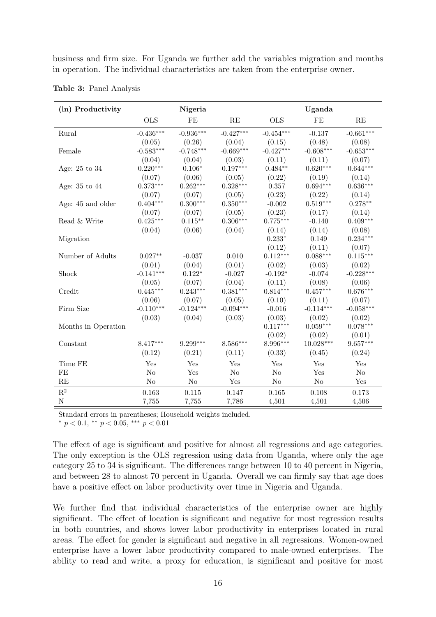business and firm size. For Uganda we further add the variables migration and months in operation. The individual characteristics are taken from the enterprise owner.

| (ln) Productivity   |             | Nigeria     |               |                      | Uganda      |             |
|---------------------|-------------|-------------|---------------|----------------------|-------------|-------------|
|                     | <b>OLS</b>  | FE          | $\mathbf{RE}$ | <b>OLS</b>           | FE          | RE          |
| Rural               | $-0.436***$ | $-0.936***$ | $-0.427***$   | $-0.454***$          | $-0.137$    | $-0.661***$ |
|                     | (0.05)      | (0.26)      | (0.04)        | (0.15)               | (0.48)      | (0.08)      |
| Female              | $-0.583***$ | $-0.748***$ | $-0.669***$   | $-0.427***$          | $-0.608***$ | $-0.653***$ |
|                     | (0.04)      | (0.04)      | (0.03)        | (0.11)               | (0.11)      | (0.07)      |
| Age: 25 to 34       | $0.220***$  | $0.106*$    | $0.197***$    | $0.484**$            | $0.620***$  | $0.644***$  |
|                     | (0.07)      | (0.06)      | (0.05)        | (0.22)               | (0.19)      | (0.14)      |
| Age: 35 to 44       | $0.373***$  | $0.262***$  | $0.328***$    | 0.357                | $0.694***$  | $0.636***$  |
|                     | (0.07)      | (0.07)      | (0.05)        | (0.23)               | (0.22)      | (0.14)      |
| Age: 45 and older   | $0.404***$  | $0.300***$  | $0.350***$    | $-0.002$             | $0.519***$  | $0.278**$   |
|                     | (0.07)      | (0.07)      | (0.05)        | (0.23)               | (0.17)      | (0.14)      |
| Read & Write        | $0.425***$  | $0.115***$  | $0.306***$    | $0.775***$           | $-0.140$    | $0.409***$  |
|                     | (0.04)      | (0.06)      | (0.04)        | (0.14)               | (0.14)      | (0.08)      |
| Migration           |             |             |               | $0.233*$             | 0.149       | $0.234***$  |
|                     |             |             |               | (0.12)               | (0.11)      | (0.07)      |
| Number of Adults    | $0.027**$   | $-0.037$    | 0.010         | $0.112***$           | $0.088***$  | $0.115***$  |
|                     | (0.01)      | (0.04)      | (0.01)        | (0.02)               | (0.03)      | (0.02)      |
| Shock               | $-0.141***$ | $0.122*$    | $-0.027$      | $-0.192*$            | $-0.074$    | $-0.228***$ |
|                     | (0.05)      | (0.07)      | (0.04)        | (0.11)               | (0.08)      | (0.06)      |
| Credit              | $0.445***$  | $0.243***$  | $0.381***$    | $0.814***$           | $0.457***$  | $0.676***$  |
|                     | (0.06)      | (0.07)      | (0.05)        | (0.10)               | (0.11)      | (0.07)      |
| Firm Size           | $-0.110***$ | $-0.124***$ | $-0.094***$   | $-0.016$             | $-0.114***$ | $-0.058***$ |
|                     | (0.03)      | (0.04)      | (0.03)        | (0.03)               | (0.02)      | (0.02)      |
| Months in Operation |             |             |               | $0.117***$           | $0.059***$  | $0.078***$  |
|                     |             |             |               | (0.02)               | (0.02)      | (0.01)      |
| Constant            | $8.417***$  | $9.299***$  | $8.586***$    | 8.996***             | $10.028***$ | $9.657***$  |
|                     | (0.12)      | (0.21)      | (0.11)        | (0.33)               | (0.45)      | (0.24)      |
| Time FE             | Yes         | Yes         | Yes           | $\operatorname{Yes}$ | Yes         | Yes         |
| FE                  | $\rm No$    | Yes         | $\rm No$      | $\rm No$             | Yes         | $\rm No$    |
| RE                  | $\rm No$    | $\rm No$    | Yes           | $\rm No$             | $\rm No$    | Yes         |
| $\mathbf{R}^2$      | 0.163       | 0.115       | 0.147         | $0.165\,$            | 0.108       | 0.173       |
| $\mathbf N$         | 7,755       | 7,755       | 7,786         | 4,501                | 4,501       | 4,506       |

<span id="page-18-0"></span>Table 3: Panel Analysis

Standard errors in parentheses; Household weights included.

\*  $p < 0.1$ , \*\*  $p < 0.05$ , \*\*\*  $p < 0.01$ 

The effect of age is significant and positive for almost all regressions and age categories. The only exception is the OLS regression using data from Uganda, where only the age category 25 to 34 is significant. The differences range between 10 to 40 percent in Nigeria, and between 28 to almost 70 percent in Uganda. Overall we can firmly say that age does have a positive effect on labor productivity over time in Nigeria and Uganda.

We further find that individual characteristics of the enterprise owner are highly significant. The effect of location is significant and negative for most regression results in both countries, and shows lower labor productivity in enterprises located in rural areas. The effect for gender is significant and negative in all regressions. Women-owned enterprise have a lower labor productivity compared to male-owned enterprises. The ability to read and write, a proxy for education, is significant and positive for most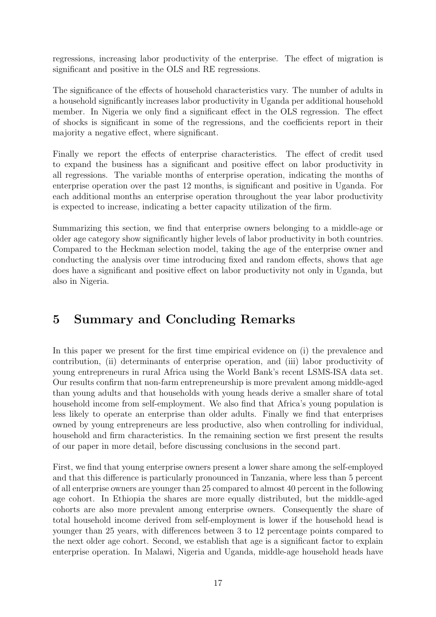regressions, increasing labor productivity of the enterprise. The effect of migration is significant and positive in the OLS and RE regressions.

The significance of the effects of household characteristics vary. The number of adults in a household significantly increases labor productivity in Uganda per additional household member. In Nigeria we only find a significant effect in the OLS regression. The effect of shocks is significant in some of the regressions, and the coefficients report in their majority a negative effect, where significant.

Finally we report the effects of enterprise characteristics. The effect of credit used to expand the business has a significant and positive effect on labor productivity in all regressions. The variable months of enterprise operation, indicating the months of enterprise operation over the past 12 months, is significant and positive in Uganda. For each additional months an enterprise operation throughout the year labor productivity is expected to increase, indicating a better capacity utilization of the firm.

Summarizing this section, we find that enterprise owners belonging to a middle-age or older age category show significantly higher levels of labor productivity in both countries. Compared to the Heckman selection model, taking the age of the enterprise owner and conducting the analysis over time introducing fixed and random effects, shows that age does have a significant and positive effect on labor productivity not only in Uganda, but also in Nigeria.

## 5 Summary and Concluding Remarks

In this paper we present for the first time empirical evidence on (i) the prevalence and contribution, (ii) determinants of enterprise operation, and (iii) labor productivity of young entrepreneurs in rural Africa using the World Bank's recent LSMS-ISA data set. Our results confirm that non-farm entrepreneurship is more prevalent among middle-aged than young adults and that households with young heads derive a smaller share of total household income from self-employment. We also find that Africa's young population is less likely to operate an enterprise than older adults. Finally we find that enterprises owned by young entrepreneurs are less productive, also when controlling for individual, household and firm characteristics. In the remaining section we first present the results of our paper in more detail, before discussing conclusions in the second part.

First, we find that young enterprise owners present a lower share among the self-employed and that this difference is particularly pronounced in Tanzania, where less than 5 percent of all enterprise owners are younger than 25 compared to almost 40 percent in the following age cohort. In Ethiopia the shares are more equally distributed, but the middle-aged cohorts are also more prevalent among enterprise owners. Consequently the share of total household income derived from self-employment is lower if the household head is younger than 25 years, with differences between 3 to 12 percentage points compared to the next older age cohort. Second, we establish that age is a significant factor to explain enterprise operation. In Malawi, Nigeria and Uganda, middle-age household heads have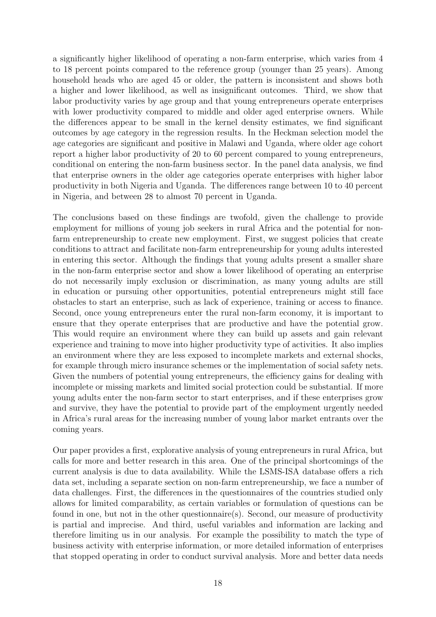a significantly higher likelihood of operating a non-farm enterprise, which varies from 4 to 18 percent points compared to the reference group (younger than 25 years). Among household heads who are aged 45 or older, the pattern is inconsistent and shows both a higher and lower likelihood, as well as insignificant outcomes. Third, we show that labor productivity varies by age group and that young entrepreneurs operate enterprises with lower productivity compared to middle and older aged enterprise owners. While the differences appear to be small in the kernel density estimates, we find significant outcomes by age category in the regression results. In the Heckman selection model the age categories are significant and positive in Malawi and Uganda, where older age cohort report a higher labor productivity of 20 to 60 percent compared to young entrepreneurs, conditional on entering the non-farm business sector. In the panel data analysis, we find that enterprise owners in the older age categories operate enterprises with higher labor productivity in both Nigeria and Uganda. The differences range between 10 to 40 percent in Nigeria, and between 28 to almost 70 percent in Uganda.

The conclusions based on these findings are twofold, given the challenge to provide employment for millions of young job seekers in rural Africa and the potential for nonfarm entrepreneurship to create new employment. First, we suggest policies that create conditions to attract and facilitate non-farm entrepreneurship for young adults interested in entering this sector. Although the findings that young adults present a smaller share in the non-farm enterprise sector and show a lower likelihood of operating an enterprise do not necessarily imply exclusion or discrimination, as many young adults are still in education or pursuing other opportunities, potential entrepreneurs might still face obstacles to start an enterprise, such as lack of experience, training or access to finance. Second, once young entrepreneurs enter the rural non-farm economy, it is important to ensure that they operate enterprises that are productive and have the potential grow. This would require an environment where they can build up assets and gain relevant experience and training to move into higher productivity type of activities. It also implies an environment where they are less exposed to incomplete markets and external shocks, for example through micro insurance schemes or the implementation of social safety nets. Given the numbers of potential young entrepreneurs, the efficiency gains for dealing with incomplete or missing markets and limited social protection could be substantial. If more young adults enter the non-farm sector to start enterprises, and if these enterprises grow and survive, they have the potential to provide part of the employment urgently needed in Africa's rural areas for the increasing number of young labor market entrants over the coming years.

Our paper provides a first, explorative analysis of young entrepreneurs in rural Africa, but calls for more and better research in this area. One of the principal shortcomings of the current analysis is due to data availability. While the LSMS-ISA database offers a rich data set, including a separate section on non-farm entrepreneurship, we face a number of data challenges. First, the differences in the questionnaires of the countries studied only allows for limited comparability, as certain variables or formulation of questions can be found in one, but not in the other questionnaire(s). Second, our measure of productivity is partial and imprecise. And third, useful variables and information are lacking and therefore limiting us in our analysis. For example the possibility to match the type of business activity with enterprise information, or more detailed information of enterprises that stopped operating in order to conduct survival analysis. More and better data needs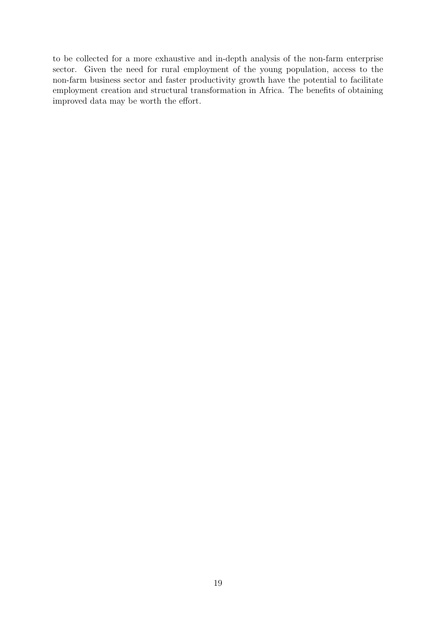to be collected for a more exhaustive and in-depth analysis of the non-farm enterprise sector. Given the need for rural employment of the young population, access to the non-farm business sector and faster productivity growth have the potential to facilitate employment creation and structural transformation in Africa. The benefits of obtaining improved data may be worth the effort.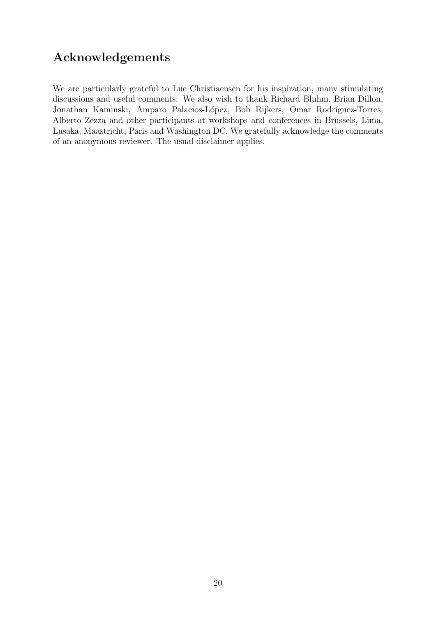## Acknowledgements

We are particularly grateful to Luc Christiaensen for his inspiration, many stimulating discussions and useful comments. We also wish to thank Richard Bluhm, Brian Dillon, Jonathan Kaminski, Amparo Palacios-López, Bob Rijkers, Omar Rodríguez-Torres, Alberto Zezza and other participants at workshops and conferences in Brussels, Lima, Lusaka, Maastricht, Paris and Washington DC. We gratefully acknowledge the comments of an anonymous reviewer. The usual disclaimer applies.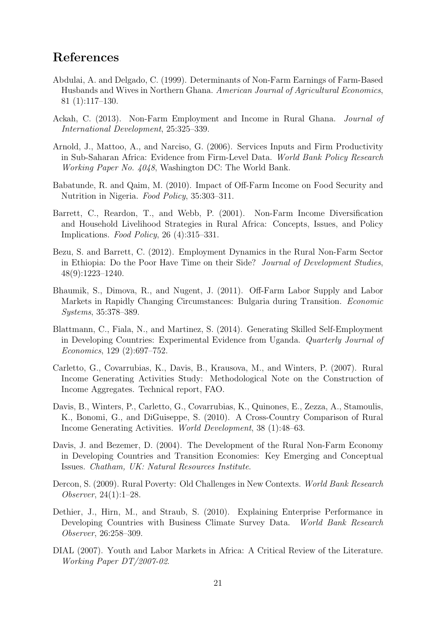## References

- <span id="page-23-9"></span>Abdulai, A. and Delgado, C. (1999). Determinants of Non-Farm Earnings of Farm-Based Husbands and Wives in Northern Ghana. American Journal of Agricultural Economics, 81 (1):117–130.
- <span id="page-23-7"></span>Ackah, C. (2013). Non-Farm Employment and Income in Rural Ghana. Journal of International Development, 25:325–339.
- <span id="page-23-11"></span>Arnold, J., Mattoo, A., and Narciso, G. (2006). Services Inputs and Firm Productivity in Sub-Saharan Africa: Evidence from Firm-Level Data. World Bank Policy Research Working Paper No. 4048, Washington DC: The World Bank.
- <span id="page-23-8"></span>Babatunde, R. and Qaim, M. (2010). Impact of Off-Farm Income on Food Security and Nutrition in Nigeria. Food Policy, 35:303–311.
- <span id="page-23-6"></span>Barrett, C., Reardon, T., and Webb, P. (2001). Non-Farm Income Diversification and Household Livelihood Strategies in Rural Africa: Concepts, Issues, and Policy Implications. Food Policy, 26 (4):315–331.
- <span id="page-23-1"></span>Bezu, S. and Barrett, C. (2012). Employment Dynamics in the Rural Non-Farm Sector in Ethiopia: Do the Poor Have Time on their Side? Journal of Development Studies, 48(9):1223–1240.
- <span id="page-23-10"></span>Bhaumik, S., Dimova, R., and Nugent, J. (2011). Off-Farm Labor Supply and Labor Markets in Rapidly Changing Circumstances: Bulgaria during Transition. Economic Systems, 35:378–389.
- <span id="page-23-2"></span>Blattmann, C., Fiala, N., and Martinez, S. (2014). Generating Skilled Self-Employment in Developing Countries: Experimental Evidence from Uganda. Quarterly Journal of Economics, 129 (2):697–752.
- <span id="page-23-13"></span>Carletto, G., Covarrubias, K., Davis, B., Krausova, M., and Winters, P. (2007). Rural Income Generating Activities Study: Methodological Note on the Construction of Income Aggregates. Technical report, FAO.
- <span id="page-23-4"></span>Davis, B., Winters, P., Carletto, G., Covarrubias, K., Quinones, E., Zezza, A., Stamoulis, K., Bonomi, G., and DiGuiseppe, S. (2010). A Cross-Country Comparison of Rural Income Generating Activities. World Development, 38 (1):48–63.
- <span id="page-23-5"></span>Davis, J. and Bezemer, D. (2004). The Development of the Rural Non-Farm Economy in Developing Countries and Transition Economies: Key Emerging and Conceptual Issues. Chatham, UK: Natural Resources Institute.
- <span id="page-23-0"></span>Dercon, S. (2009). Rural Poverty: Old Challenges in New Contexts. World Bank Research Observer, 24(1):1–28.
- <span id="page-23-12"></span>Dethier, J., Hirn, M., and Straub, S. (2010). Explaining Enterprise Performance in Developing Countries with Business Climate Survey Data. World Bank Research Observer, 26:258–309.
- <span id="page-23-3"></span>DIAL (2007). Youth and Labor Markets in Africa: A Critical Review of the Literature. Working Paper DT/2007-02.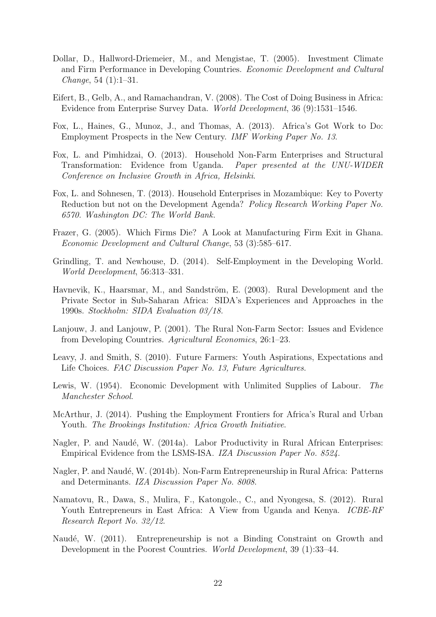- <span id="page-24-13"></span>Dollar, D., Hallword-Driemeier, M., and Mengistae, T. (2005). Investment Climate and Firm Performance in Developing Countries. Economic Development and Cultural *Change*, 54  $(1):1-31$ .
- <span id="page-24-14"></span>Eifert, B., Gelb, A., and Ramachandran, V. (2008). The Cost of Doing Business in Africa: Evidence from Enterprise Survey Data. World Development, 36 (9):1531–1546.
- <span id="page-24-12"></span>Fox, L., Haines, G., Munoz, J., and Thomas, A. (2013). Africa's Got Work to Do: Employment Prospects in the New Century. IMF Working Paper No. 13.
- <span id="page-24-0"></span>Fox, L. and Pimhidzai, O. (2013). Household Non-Farm Enterprises and Structural Transformation: Evidence from Uganda. Paper presented at the UNU-WIDER Conference on Inclusive Growth in Africa, Helsinki.
- <span id="page-24-4"></span>Fox, L. and Sohnesen, T. (2013). Household Enterprises in Mozambique: Key to Poverty Reduction but not on the Development Agenda? Policy Research Working Paper No. 6570. Washington DC: The World Bank.
- <span id="page-24-15"></span>Frazer, G. (2005). Which Firms Die? A Look at Manufacturing Firm Exit in Ghana. Economic Development and Cultural Change, 53 (3):585–617.
- <span id="page-24-3"></span>Grindling, T. and Newhouse, D. (2014). Self-Employment in the Developing World. World Development, 56:313–331.
- <span id="page-24-10"></span>Havnevik, K., Haarsmar, M., and Sandström, E. (2003). Rural Development and the Private Sector in Sub-Saharan Africa: SIDA's Experiences and Approaches in the 1990s. Stockholm: SIDA Evaluation 03/18.
- <span id="page-24-9"></span>Lanjouw, J. and Lanjouw, P. (2001). The Rural Non-Farm Sector: Issues and Evidence from Developing Countries. Agricultural Economics, 26:1–23.
- <span id="page-24-2"></span>Leavy, J. and Smith, S. (2010). Future Farmers: Youth Aspirations, Expectations and Life Choices. FAC Discussion Paper No. 13, Future Agricultures.
- <span id="page-24-8"></span>Lewis, W. (1954). Economic Development with Unlimited Supplies of Labour. The Manchester School.
- <span id="page-24-1"></span>McArthur, J. (2014). Pushing the Employment Frontiers for Africa's Rural and Urban Youth. The Brookings Institution: Africa Growth Initiative.
- <span id="page-24-6"></span>Nagler, P. and Naudé, W. (2014a). Labor Productivity in Rural African Enterprises: Empirical Evidence from the LSMS-ISA. IZA Discussion Paper No. 8524.
- <span id="page-24-7"></span>Nagler, P. and Naudé, W. (2014b). Non-Farm Entrepreneurship in Rural Africa: Patterns and Determinants. IZA Discussion Paper No. 8008.
- <span id="page-24-5"></span>Namatovu, R., Dawa, S., Mulira, F., Katongole., C., and Nyongesa, S. (2012). Rural Youth Entrepreneurs in East Africa: A View from Uganda and Kenya. *ICBE-RF* Research Report No. 32/12.
- <span id="page-24-11"></span>Naudé, W. (2011). Entrepreneurship is not a Binding Constraint on Growth and Development in the Poorest Countries. World Development, 39 (1):33–44.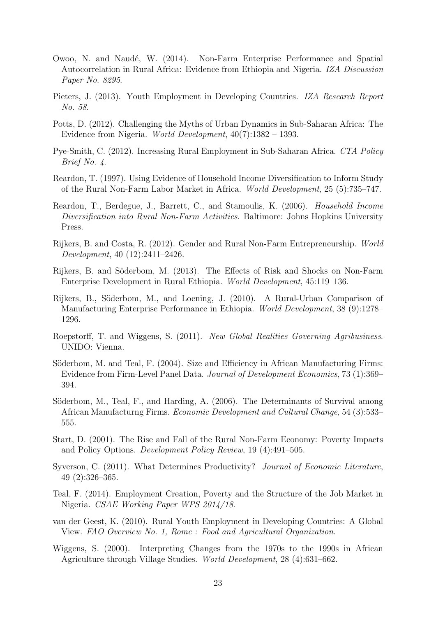- <span id="page-25-13"></span>Owoo, N. and Naudé, W. (2014). Non-Farm Enterprise Performance and Spatial Autocorrelation in Rural Africa: Evidence from Ethiopia and Nigeria. IZA Discussion Paper No. 8295.
- <span id="page-25-1"></span>Pieters, J. (2013). Youth Employment in Developing Countries. IZA Research Report No. 58.
- <span id="page-25-4"></span>Potts, D. (2012). Challenging the Myths of Urban Dynamics in Sub-Saharan Africa: The Evidence from Nigeria. World Development, 40(7):1382 – 1393.
- <span id="page-25-0"></span>Pye-Smith, C. (2012). Increasing Rural Employment in Sub-Saharan Africa. CTA Policy Brief No. 4.
- <span id="page-25-9"></span>Reardon, T. (1997). Using Evidence of Household Income Diversification to Inform Study of the Rural Non-Farm Labor Market in Africa. World Development, 25 (5):735–747.
- <span id="page-25-5"></span>Reardon, T., Berdegue, J., Barrett, C., and Stamoulis, K. (2006). Household Income Diversification into Rural Non-Farm Activities. Baltimore: Johns Hopkins University Press.
- <span id="page-25-7"></span>Rijkers, B. and Costa, R. (2012). Gender and Rural Non-Farm Entrepreneurship. World Development, 40 (12):2411–2426.
- <span id="page-25-8"></span>Rijkers, B. and Söderbom, M. (2013). The Effects of Risk and Shocks on Non-Farm Enterprise Development in Rural Ethiopia. World Development, 45:119–136.
- <span id="page-25-14"></span>Rijkers, B., Söderbom, M., and Loening, J. (2010). A Rural-Urban Comparison of Manufacturing Enterprise Performance in Ethiopia. World Development, 38 (9):1278– 1296.
- <span id="page-25-11"></span>Roepstorff, T. and Wiggens, S. (2011). New Global Realities Governing Agribusiness. UNIDO: Vienna.
- <span id="page-25-15"></span>Söderbom, M. and Teal, F. (2004). Size and Efficiency in African Manufacturing Firms: Evidence from Firm-Level Panel Data. Journal of Development Economics, 73 (1):369– 394.
- <span id="page-25-16"></span>Söderbom, M., Teal, F., and Harding, A. (2006). The Determinants of Survival among African Manufacturng Firms. Economic Development and Cultural Change, 54 (3):533– 555.
- <span id="page-25-6"></span>Start, D. (2001). The Rise and Fall of the Rural Non-Farm Economy: Poverty Impacts and Policy Options. Development Policy Review, 19 (4):491–505.
- <span id="page-25-12"></span>Syverson, C. (2011). What Determines Productivity? Journal of Economic Literature, 49 (2):326–365.
- <span id="page-25-2"></span>Teal, F. (2014). Employment Creation, Poverty and the Structure of the Job Market in Nigeria. CSAE Working Paper WPS 2014/18.
- <span id="page-25-3"></span>van der Geest, K. (2010). Rural Youth Employment in Developing Countries: A Global View. FAO Overview No. 1, Rome : Food and Agricultural Organization.
- <span id="page-25-10"></span>Wiggens, S. (2000). Interpreting Changes from the 1970s to the 1990s in African Agriculture through Village Studies. World Development, 28 (4):631–662.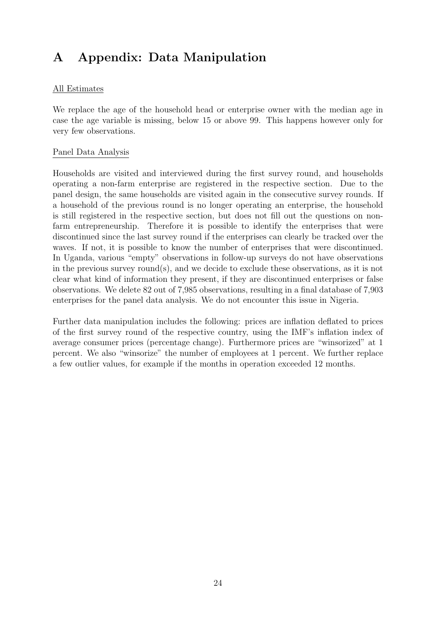## A Appendix: Data Manipulation

#### All Estimates

We replace the age of the household head or enterprise owner with the median age in case the age variable is missing, below 15 or above 99. This happens however only for very few observations.

#### Panel Data Analysis

Households are visited and interviewed during the first survey round, and households operating a non-farm enterprise are registered in the respective section. Due to the panel design, the same households are visited again in the consecutive survey rounds. If a household of the previous round is no longer operating an enterprise, the household is still registered in the respective section, but does not fill out the questions on nonfarm entrepreneurship. Therefore it is possible to identify the enterprises that were discontinued since the last survey round if the enterprises can clearly be tracked over the waves. If not, it is possible to know the number of enterprises that were discontinued. In Uganda, various "empty" observations in follow-up surveys do not have observations in the previous survey round(s), and we decide to exclude these observations, as it is not clear what kind of information they present, if they are discontinued enterprises or false observations. We delete 82 out of 7,985 observations, resulting in a final database of 7,903 enterprises for the panel data analysis. We do not encounter this issue in Nigeria.

Further data manipulation includes the following: prices are inflation deflated to prices of the first survey round of the respective country, using the IMF's inflation index of average consumer prices (percentage change). Furthermore prices are "winsorized" at 1 percent. We also "winsorize" the number of employees at 1 percent. We further replace a few outlier values, for example if the months in operation exceeded 12 months.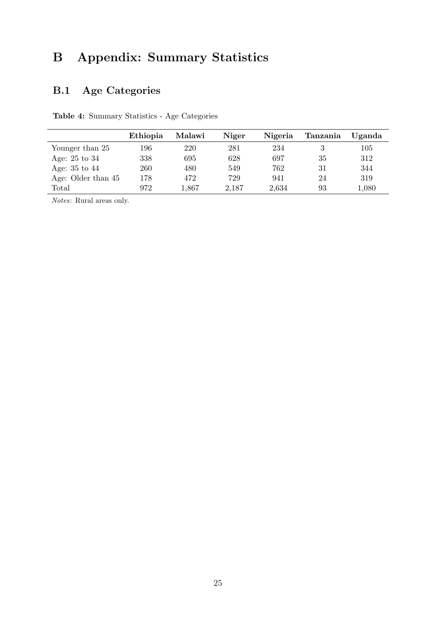# B Appendix: Summary Statistics

## B.1 Age Categories

Table 4: Summary Statistics - Age Categories

|                    | Ethiopia | Malawi    | Niger | Nigeria | Tanzania | Uganda |
|--------------------|----------|-----------|-------|---------|----------|--------|
| Younger than 25    | 196      | 220       | 281   | 234     |          | 105    |
| Age: $25$ to $34$  | 338      | 695       | 628   | 697     | 35       | 312    |
| Age: $35$ to $44$  | 260      | 480       | 549   | 762     | 31       | 344    |
| Age: Older than 45 | 178      | 472       | 729   | 941     | 24       | 319    |
| Total              | 972      | $1.867\,$ | 2,187 | 2,634   | 93       | 1,080  |

Notes: Rural areas only.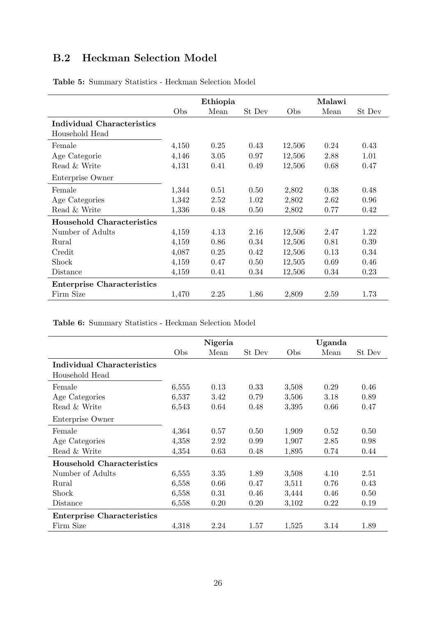## <span id="page-28-2"></span>B.2 Heckman Selection Model

|                                   | Ethiopia |      |        | Malawi |      |        |
|-----------------------------------|----------|------|--------|--------|------|--------|
|                                   | Obs      | Mean | St Dev | Obs    | Mean | St Dev |
| <b>Individual Characteristics</b> |          |      |        |        |      |        |
| Household Head                    |          |      |        |        |      |        |
| Female                            | 4,150    | 0.25 | 0.43   | 12,506 | 0.24 | 0.43   |
| Age Categorie                     | 4,146    | 3.05 | 0.97   | 12,506 | 2.88 | 1.01   |
| Read & Write                      | 4,131    | 0.41 | 0.49   | 12,506 | 0.68 | 0.47   |
| Enterprise Owner                  |          |      |        |        |      |        |
| Female                            | 1,344    | 0.51 | 0.50   | 2,802  | 0.38 | 0.48   |
| Age Categories                    | 1,342    | 2.52 | 1.02   | 2,802  | 2.62 | 0.96   |
| Read & Write                      | 1,336    | 0.48 | 0.50   | 2,802  | 0.77 | 0.42   |
| <b>Household Characteristics</b>  |          |      |        |        |      |        |
| Number of Adults                  | 4,159    | 4.13 | 2.16   | 12,506 | 2.47 | 1.22   |
| Rural                             | 4,159    | 0.86 | 0.34   | 12,506 | 0.81 | 0.39   |
| Credit                            | 4,087    | 0.25 | 0.42   | 12,506 | 0.13 | 0.34   |
| Shock                             | 4,159    | 0.47 | 0.50   | 12,505 | 0.69 | 0.46   |
| Distance                          | 4,159    | 0.41 | 0.34   | 12,506 | 0.34 | 0.23   |
| <b>Enterprise Characteristics</b> |          |      |        |        |      |        |
| Firm Size                         | 1,470    | 2.25 | 1.86   | 2,809  | 2.59 | 1.73   |

<span id="page-28-0"></span>Table 5: Summary Statistics - Heckman Selection Model

<span id="page-28-1"></span>Table 6: Summary Statistics - Heckman Selection Model

|                                              |       | Nigeria |        |       | Uganda |        |
|----------------------------------------------|-------|---------|--------|-------|--------|--------|
|                                              | Obs   | Mean    | St Dev | Obs   | Mean   | St Dev |
| Individual Characteristics<br>Household Head |       |         |        |       |        |        |
| Female                                       | 6,555 | 0.13    | 0.33   | 3,508 | 0.29   | 0.46   |
| Age Categories                               | 6,537 | 3.42    | 0.79   | 3,506 | 3.18   | 0.89   |
| Read & Write                                 | 6,543 | 0.64    | 0.48   | 3,395 | 0.66   | 0.47   |
| Enterprise Owner                             |       |         |        |       |        |        |
| Female                                       | 4,364 | 0.57    | 0.50   | 1,909 | 0.52   | 0.50   |
| Age Categories                               | 4,358 | 2.92    | 0.99   | 1,907 | 2.85   | 0.98   |
| Read & Write                                 | 4,354 | 0.63    | 0.48   | 1,895 | 0.74   | 0.44   |
| <b>Household Characteristics</b>             |       |         |        |       |        |        |
| Number of Adults                             | 6,555 | 3.35    | 1.89   | 3,508 | 4.10   | 2.51   |
| Rural                                        | 6,558 | 0.66    | 0.47   | 3,511 | 0.76   | 0.43   |
| Shock                                        | 6,558 | 0.31    | 0.46   | 3,444 | 0.46   | 0.50   |
| Distance                                     | 6,558 | 0.20    | 0.20   | 3,102 | 0.22   | 0.19   |
| <b>Enterprise Characteristics</b>            |       |         |        |       |        |        |
| Firm Size                                    | 4,318 | 2.24    | 1.57   | 1,525 | 3.14   | 1.89   |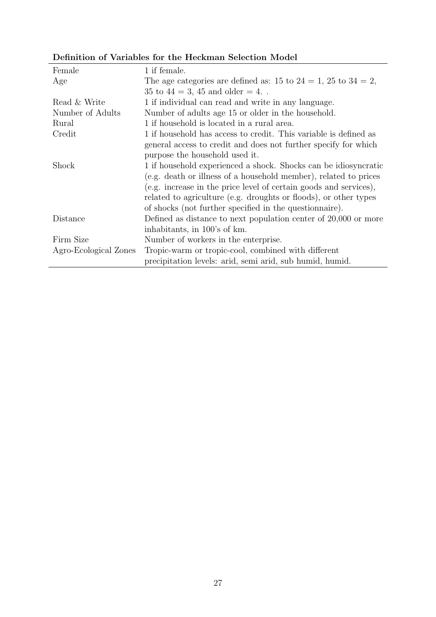### Definition of Variables for the Heckman Selection Model

| Female                | 1 if female.                                                         |
|-----------------------|----------------------------------------------------------------------|
| Age                   | The age categories are defined as: 15 to $24 = 1$ , 25 to $34 = 2$ , |
|                       | 35 to $44 = 3, 45$ and older $= 4$ .                                 |
| Read & Write          | 1 if individual can read and write in any language.                  |
| Number of Adults      | Number of adults age 15 or older in the household.                   |
| Rural                 | 1 if household is located in a rural area.                           |
| Credit                | 1 if household has access to credit. This variable is defined as     |
|                       | general access to credit and does not further specify for which      |
|                       | purpose the household used it.                                       |
| Shock                 | 1 if household experienced a shock. Shocks can be idiosyncratic      |
|                       | (e.g. death or illness of a household member), related to prices     |
|                       | (e.g. increase in the price level of certain goods and services),    |
|                       | related to agriculture (e.g. droughts or floods), or other types     |
|                       | of shocks (not further specified in the questionnaire).              |
| Distance              | Defined as distance to next population center of $20,000$ or more    |
|                       | inhabitants, in 100's of km.                                         |
| Firm Size             | Number of workers in the enterprise.                                 |
| Agro-Ecological Zones | Tropic-warm or tropic-cool, combined with different                  |
|                       | precipitation levels: arid, semi arid, sub humid, humid.             |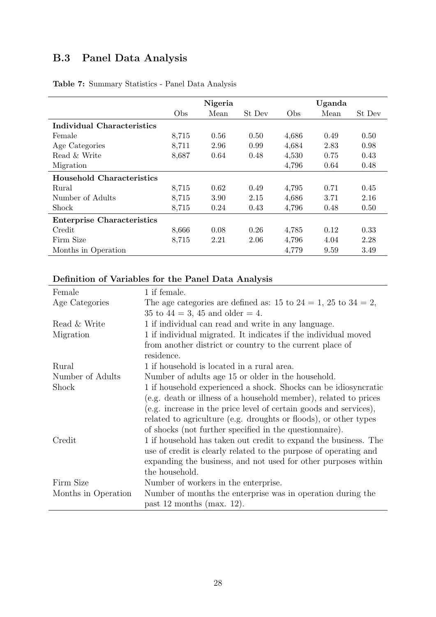## <span id="page-30-1"></span>B.3 Panel Data Analysis

|                                   | Nigeria |      |        | Uganda |      |        |
|-----------------------------------|---------|------|--------|--------|------|--------|
|                                   | Obs     | Mean | St Dev | Obs    | Mean | St Dev |
| <b>Individual Characteristics</b> |         |      |        |        |      |        |
| Female                            | 8,715   | 0.56 | 0.50   | 4,686  | 0.49 | 0.50   |
| Age Categories                    | 8,711   | 2.96 | 0.99   | 4,684  | 2.83 | 0.98   |
| Read & Write                      | 8,687   | 0.64 | 0.48   | 4,530  | 0.75 | 0.43   |
| Migration                         |         |      |        | 4,796  | 0.64 | 0.48   |
| Household Characteristics         |         |      |        |        |      |        |
| Rural                             | 8,715   | 0.62 | 0.49   | 4,795  | 0.71 | 0.45   |
| Number of Adults                  | 8,715   | 3.90 | 2.15   | 4,686  | 3.71 | 2.16   |
| <b>Shock</b>                      | 8,715   | 0.24 | 0.43   | 4,796  | 0.48 | 0.50   |
| <b>Enterprise Characteristics</b> |         |      |        |        |      |        |
| Credit                            | 8,666   | 0.08 | 0.26   | 4,785  | 0.12 | 0.33   |
| Firm Size                         | 8,715   | 2.21 | 2.06   | 4,796  | 4.04 | 2.28   |
| Months in Operation               |         |      |        | 4,779  | 9.59 | 3.49   |

#### <span id="page-30-0"></span>Table 7: Summary Statistics - Panel Data Analysis

### Definition of Variables for the Panel Data Analysis

| Female              | 1 if female.                                                         |  |  |  |  |
|---------------------|----------------------------------------------------------------------|--|--|--|--|
| Age Categories      | The age categories are defined as: 15 to $24 = 1$ , 25 to $34 = 2$ , |  |  |  |  |
|                     | 35 to $44 = 3$ , 45 and older $= 4$ .                                |  |  |  |  |
| Read & Write        | 1 if individual can read and write in any language.                  |  |  |  |  |
| Migration           | 1 if individual migrated. It indicates if the individual moved       |  |  |  |  |
|                     | from another district or country to the current place of             |  |  |  |  |
|                     | residence.                                                           |  |  |  |  |
| Rural               | 1 if household is located in a rural area.                           |  |  |  |  |
| Number of Adults    | Number of adults age 15 or older in the household.                   |  |  |  |  |
| Shock               | 1 if household experienced a shock. Shocks can be idiosyncratic      |  |  |  |  |
|                     | (e.g. death or illness of a household member), related to prices     |  |  |  |  |
|                     | (e.g. increase in the price level of certain goods and services),    |  |  |  |  |
|                     | related to agriculture (e.g. droughts or floods), or other types     |  |  |  |  |
|                     | of shocks (not further specified in the questionnaire).              |  |  |  |  |
| Credit              | 1 if household has taken out credit to expand the business. The      |  |  |  |  |
|                     | use of credit is clearly related to the purpose of operating and     |  |  |  |  |
|                     | expanding the business, and not used for other purposes within       |  |  |  |  |
|                     | the household.                                                       |  |  |  |  |
| Firm Size           | Number of workers in the enterprise.                                 |  |  |  |  |
| Months in Operation | Number of months the enterprise was in operation during the          |  |  |  |  |
|                     | past 12 months (max. 12).                                            |  |  |  |  |